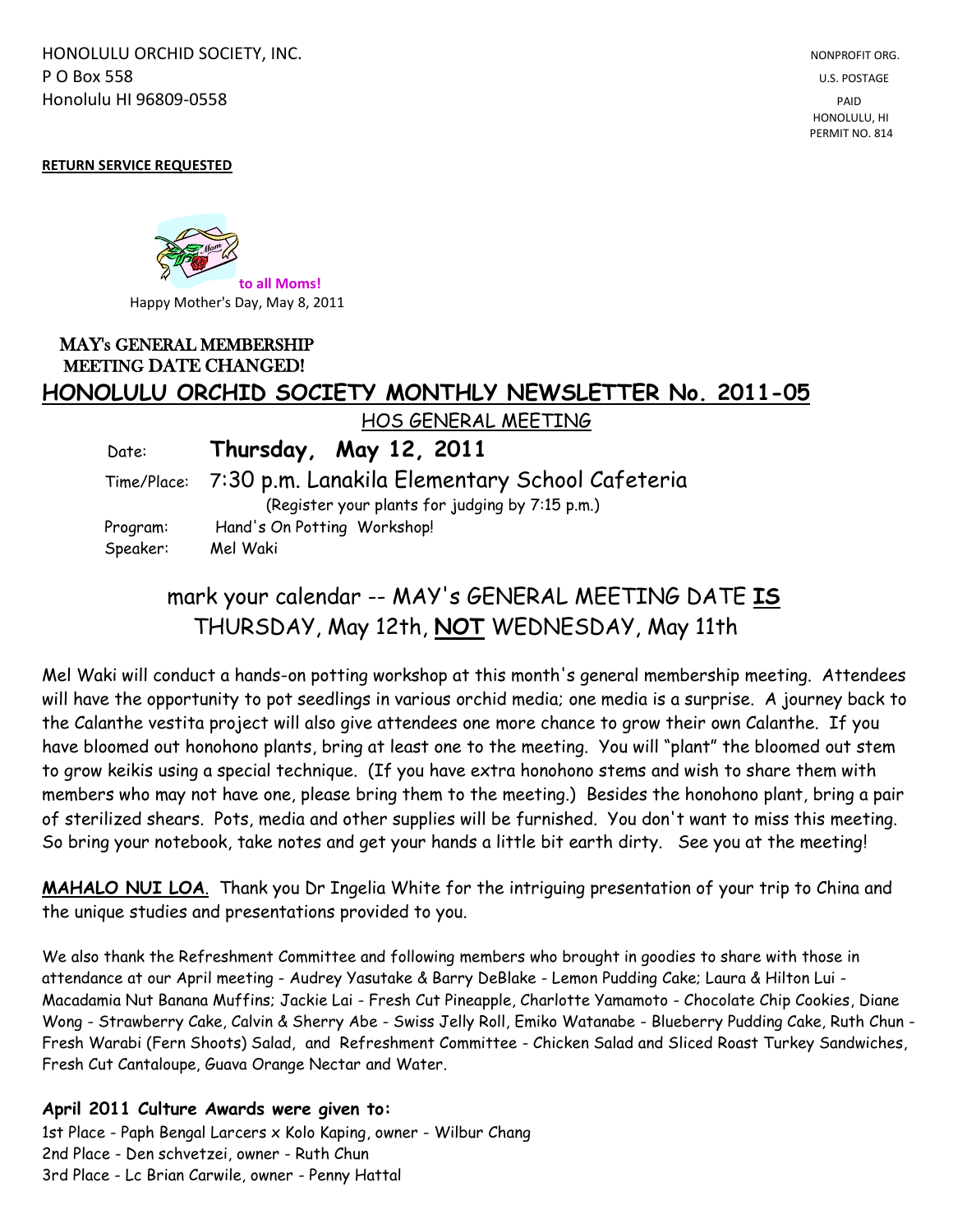HONOLULU ORCHID SOCIETY, INC. NONPROFIT ORG. NONPROFIT ORG. **P O Box 558** U.S. POSTAGE Honolulu HI 96809-0558 PAID

 HONOLULU, HI PERMIT NO. 814

#### **RETURN SERVICE REQUESTED**

**to all Moms!** Happy Mother's Day, May 8, 2011

## MAY's GENERAL MEMBERSHIP MEETING DATE CHANGED! **HONOLULU ORCHID SOCIETY MONTHLY NEWSLETTER No. 2011-05**

HOS GENERAL MEETING

Date: **Thursday, May 12, 2011**

## Time/Place: 7:30 p.m. Lanakila Elementary School Cafeteria

(Register your plants for judging by 7:15 p.m.) Program: Hand's On Potting Workshop! Speaker: Mel Waki

# mark your calendar -- MAY's GENERAL MEETING DATE **IS** THURSDAY, May 12th, **NOT** WEDNESDAY, May 11th

Mel Waki will conduct a hands-on potting workshop at this month's general membership meeting. Attendees will have the opportunity to pot seedlings in various orchid media; one media is a surprise. A journey back to the Calanthe vestita project will also give attendees one more chance to grow their own Calanthe. If you have bloomed out honohono plants, bring at least one to the meeting. You will "plant" the bloomed out stem to grow keikis using a special technique. (If you have extra honohono stems and wish to share them with members who may not have one, please bring them to the meeting.) Besides the honohono plant, bring a pair of sterilized shears. Pots, media and other supplies will be furnished. You don't want to miss this meeting. So bring your notebook, take notes and get your hands a little bit earth dirty. See you at the meeting!

**MAHALO NUI LOA**. Thank you Dr Ingelia White for the intriguing presentation of your trip to China and the unique studies and presentations provided to you.

We also thank the Refreshment Committee and following members who brought in goodies to share with those in attendance at our April meeting - Audrey Yasutake & Barry DeBlake - Lemon Pudding Cake; Laura & Hilton Lui - Macadamia Nut Banana Muffins; Jackie Lai - Fresh Cut Pineapple, Charlotte Yamamoto - Chocolate Chip Cookies, Diane Wong - Strawberry Cake, Calvin & Sherry Abe - Swiss Jelly Roll, Emiko Watanabe - Blueberry Pudding Cake, Ruth Chun - Fresh Warabi (Fern Shoots) Salad, and Refreshment Committee - Chicken Salad and Sliced Roast Turkey Sandwiches, Fresh Cut Cantaloupe, Guava Orange Nectar and Water.

### **April 2011 Culture Awards were given to:**

1st Place - Paph Bengal Larcers x Kolo Kaping, owner - Wilbur Chang 2nd Place - Den schvetzei, owner - Ruth Chun 3rd Place - Lc Brian Carwile, owner - Penny Hattal